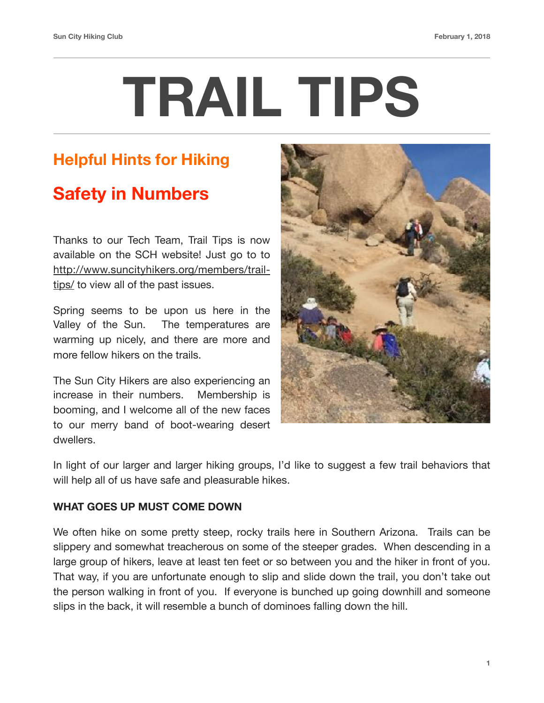# **TRAIL TIPS**

### **Helpful Hints for Hiking**

## **Safety in Numbers**

Thanks to our Tech Team, Trail Tips is now available on the SCH website! Just go to to [http://www.suncityhikers.org/members/trail](http://www.suncityhikers.org/members/trail-tips/)[tips/](http://www.suncityhikers.org/members/trail-tips/) to view all of the past issues.

Spring seems to be upon us here in the Valley of the Sun. The temperatures are warming up nicely, and there are more and more fellow hikers on the trails.

The Sun City Hikers are also experiencing an increase in their numbers. Membership is booming, and I welcome all of the new faces to our merry band of boot-wearing desert dwellers.



In light of our larger and larger hiking groups, I'd like to suggest a few trail behaviors that will help all of us have safe and pleasurable hikes.

#### **WHAT GOES UP MUST COME DOWN**

We often hike on some pretty steep, rocky trails here in Southern Arizona. Trails can be slippery and somewhat treacherous on some of the steeper grades. When descending in a large group of hikers, leave at least ten feet or so between you and the hiker in front of you. That way, if you are unfortunate enough to slip and slide down the trail, you don't take out the person walking in front of you. If everyone is bunched up going downhill and someone slips in the back, it will resemble a bunch of dominoes falling down the hill.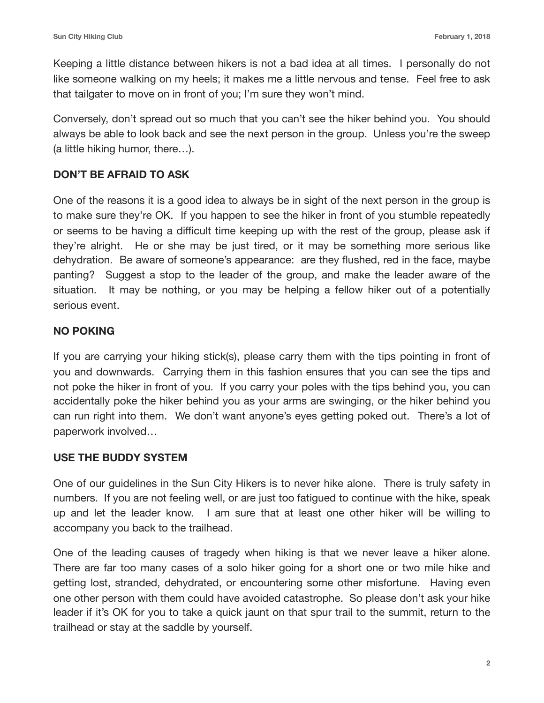Keeping a little distance between hikers is not a bad idea at all times. I personally do not like someone walking on my heels; it makes me a little nervous and tense. Feel free to ask that tailgater to move on in front of you; I'm sure they won't mind.

Conversely, don't spread out so much that you can't see the hiker behind you. You should always be able to look back and see the next person in the group. Unless you're the sweep (a little hiking humor, there…).

#### **DON'T BE AFRAID TO ASK**

One of the reasons it is a good idea to always be in sight of the next person in the group is to make sure they're OK. If you happen to see the hiker in front of you stumble repeatedly or seems to be having a difficult time keeping up with the rest of the group, please ask if they're alright. He or she may be just tired, or it may be something more serious like dehydration. Be aware of someone's appearance: are they flushed, red in the face, maybe panting? Suggest a stop to the leader of the group, and make the leader aware of the situation. It may be nothing, or you may be helping a fellow hiker out of a potentially serious event.

#### **NO POKING**

If you are carrying your hiking stick(s), please carry them with the tips pointing in front of you and downwards. Carrying them in this fashion ensures that you can see the tips and not poke the hiker in front of you. If you carry your poles with the tips behind you, you can accidentally poke the hiker behind you as your arms are swinging, or the hiker behind you can run right into them. We don't want anyone's eyes getting poked out. There's a lot of paperwork involved…

#### **USE THE BUDDY SYSTEM**

One of our guidelines in the Sun City Hikers is to never hike alone. There is truly safety in numbers. If you are not feeling well, or are just too fatigued to continue with the hike, speak up and let the leader know. I am sure that at least one other hiker will be willing to accompany you back to the trailhead.

One of the leading causes of tragedy when hiking is that we never leave a hiker alone. There are far too many cases of a solo hiker going for a short one or two mile hike and getting lost, stranded, dehydrated, or encountering some other misfortune. Having even one other person with them could have avoided catastrophe. So please don't ask your hike leader if it's OK for you to take a quick jaunt on that spur trail to the summit, return to the trailhead or stay at the saddle by yourself.